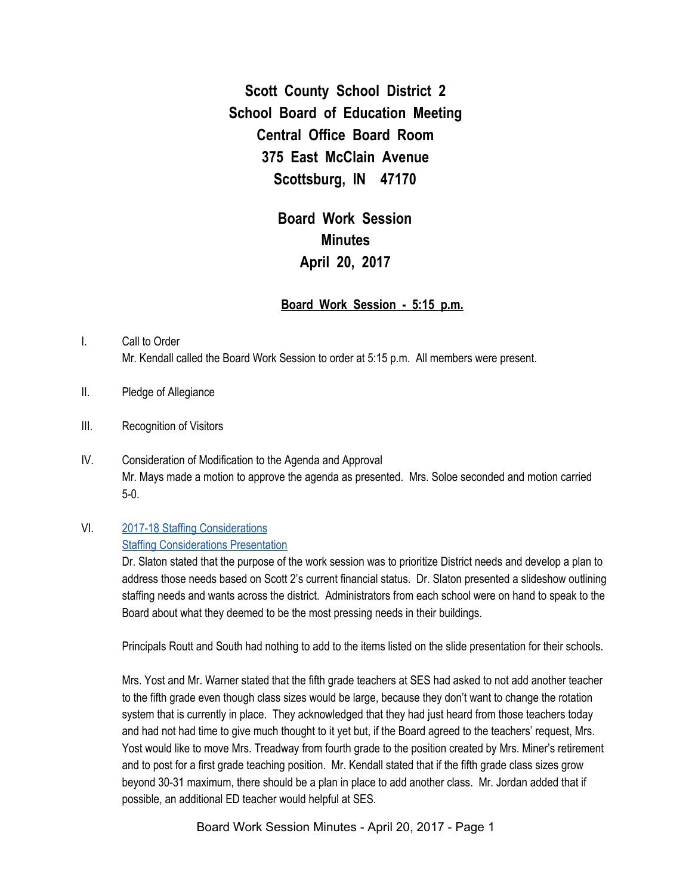**Scott County School District 2 School Board of Education Meeting Central Office Board Room 375 East McClain Avenue Scottsburg, IN 47170**

> **Board Work Session Minutes April 20, 2017**

## **Board Work Session - 5:15 p.m.**

- I. Call to Order Mr. Kendall called the Board Work Session to order at 5:15 p.m. All members were present.
- II. Pledge of Allegiance
- III. Recognition of Visitors
- IV. Consideration of Modification to the Agenda and Approval Mr. Mays made a motion to approve the agenda as presented. Mrs. Soloe seconded and motion carried 5-0.

## VI. 2017-18 Staffing [Considerations](https://docs.google.com/spreadsheets/d/1Xn_vJ2jzp9YeP_MrA1TQ_GIWR8nr4J-jlr7VRm2DWwU/edit?ts=58e68ebf#gid=1659533279)

## Staffing [Considerations](https://docs.google.com/a/scsd2.k12.in.us/presentation/d/1QbaWTnqhOYeq_c1Yyjgy0stUI3whua3fZXi9fVs-tj8/edit?usp=sharing) Presentation

Dr. Slaton stated that the purpose of the work session was to prioritize District needs and develop a plan to address those needs based on Scott 2's current financial status. Dr. Slaton presented a slideshow outlining staffing needs and wants across the district. Administrators from each school were on hand to speak to the Board about what they deemed to be the most pressing needs in their buildings.

Principals Routt and South had nothing to add to the items listed on the slide presentation for their schools.

Mrs. Yost and Mr. Warner stated that the fifth grade teachers at SES had asked to not add another teacher to the fifth grade even though class sizes would be large, because they don't want to change the rotation system that is currently in place. They acknowledged that they had just heard from those teachers today and had not had time to give much thought to it yet but, if the Board agreed to the teachers' request, Mrs. Yost would like to move Mrs. Treadway from fourth grade to the position created by Mrs. Miner's retirement and to post for a first grade teaching position. Mr. Kendall stated that if the fifth grade class sizes grow beyond 30-31 maximum, there should be a plan in place to add another class. Mr. Jordan added that if possible, an additional ED teacher would helpful at SES.

Board Work Session Minutes - April 20, 2017 - Page 1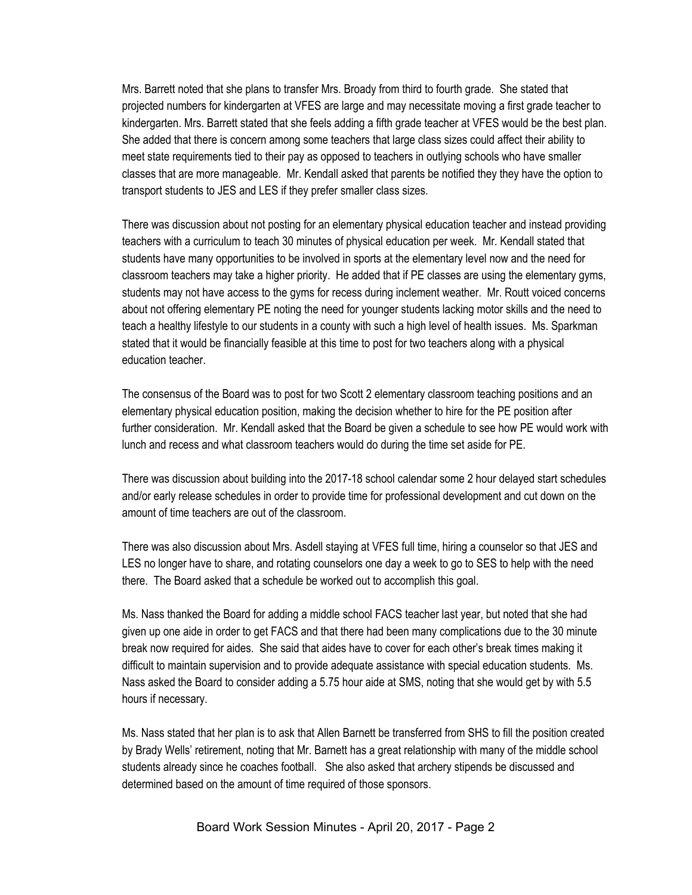Mrs. Barrett noted that she plans to transfer Mrs. Broady from third to fourth grade. She stated that projected numbers for kindergarten at VFES are large and may necessitate moving a first grade teacher to kindergarten. Mrs. Barrett stated that she feels adding a fifth grade teacher at VFES would be the best plan. She added that there is concern among some teachers that large class sizes could affect their ability to meet state requirements tied to their pay as opposed to teachers in outlying schools who have smaller classes that are more manageable. Mr. Kendall asked that parents be notified they they have the option to transport students to JES and LES if they prefer smaller class sizes.

There was discussion about not posting for an elementary physical education teacher and instead providing teachers with a curriculum to teach 30 minutes of physical education per week. Mr. Kendall stated that students have many opportunities to be involved in sports at the elementary level now and the need for classroom teachers may take a higher priority. He added that if PE classes are using the elementary gyms, students may not have access to the gyms for recess during inclement weather. Mr. Routt voiced concerns about not offering elementary PE noting the need for younger students lacking motor skills and the need to teach a healthy lifestyle to our students in a county with such a high level of health issues. Ms. Sparkman stated that it would be financially feasible at this time to post for two teachers along with a physical education teacher.

The consensus of the Board was to post for two Scott 2 elementary classroom teaching positions and an elementary physical education position, making the decision whether to hire for the PE position after further consideration. Mr. Kendall asked that the Board be given a schedule to see how PE would work with lunch and recess and what classroom teachers would do during the time set aside for PE.

There was discussion about building into the 2017-18 school calendar some 2 hour delayed start schedules and/or early release schedules in order to provide time for professional development and cut down on the amount of time teachers are out of the classroom.

There was also discussion about Mrs. Asdell staying at VFES full time, hiring a counselor so that JES and LES no longer have to share, and rotating counselors one day a week to go to SES to help with the need there. The Board asked that a schedule be worked out to accomplish this goal.

Ms. Nass thanked the Board for adding a middle school FACS teacher last year, but noted that she had given up one aide in order to get FACS and that there had been many complications due to the 30 minute break now required for aides. She said that aides have to cover for each other's break times making it difficult to maintain supervision and to provide adequate assistance with special education students. Ms. Nass asked the Board to consider adding a 5.75 hour aide at SMS, noting that she would get by with 5.5 hours if necessary.

Ms. Nass stated that her plan is to ask that Allen Barnett be transferred from SHS to fill the position created by Brady Wells' retirement, noting that Mr. Barnett has a great relationship with many of the middle school students already since he coaches football. She also asked that archery stipends be discussed and determined based on the amount of time required of those sponsors.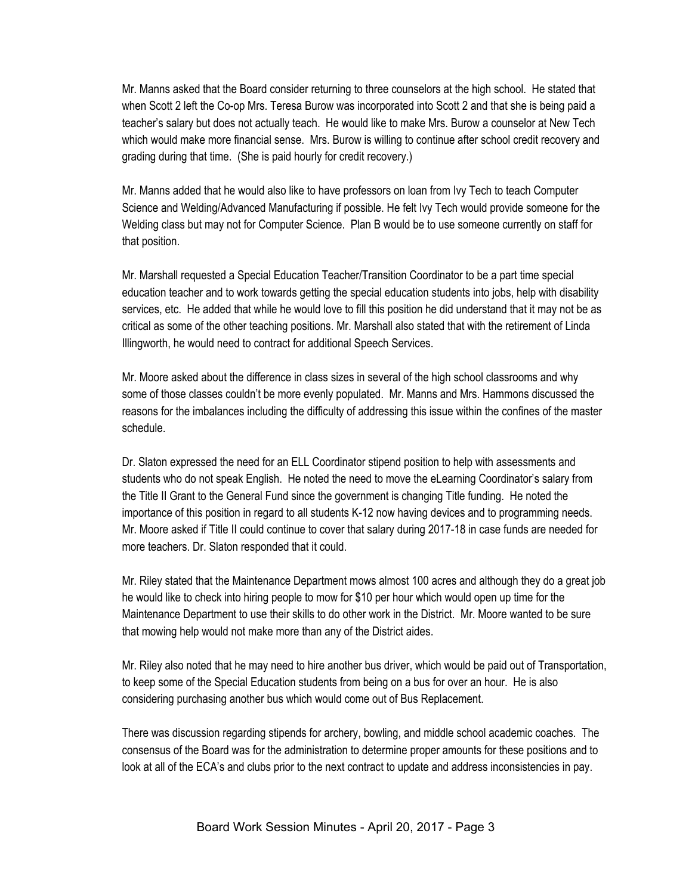Mr. Manns asked that the Board consider returning to three counselors at the high school. He stated that when Scott 2 left the Co-op Mrs. Teresa Burow was incorporated into Scott 2 and that she is being paid a teacher's salary but does not actually teach. He would like to make Mrs. Burow a counselor at New Tech which would make more financial sense. Mrs. Burow is willing to continue after school credit recovery and grading during that time. (She is paid hourly for credit recovery.)

Mr. Manns added that he would also like to have professors on loan from Ivy Tech to teach Computer Science and Welding/Advanced Manufacturing if possible. He felt Ivy Tech would provide someone for the Welding class but may not for Computer Science. Plan B would be to use someone currently on staff for that position.

Mr. Marshall requested a Special Education Teacher/Transition Coordinator to be a part time special education teacher and to work towards getting the special education students into jobs, help with disability services, etc. He added that while he would love to fill this position he did understand that it may not be as critical as some of the other teaching positions. Mr. Marshall also stated that with the retirement of Linda Illingworth, he would need to contract for additional Speech Services.

Mr. Moore asked about the difference in class sizes in several of the high school classrooms and why some of those classes couldn't be more evenly populated. Mr. Manns and Mrs. Hammons discussed the reasons for the imbalances including the difficulty of addressing this issue within the confines of the master schedule.

Dr. Slaton expressed the need for an ELL Coordinator stipend position to help with assessments and students who do not speak English. He noted the need to move the eLearning Coordinator's salary from the Title II Grant to the General Fund since the government is changing Title funding. He noted the importance of this position in regard to all students K-12 now having devices and to programming needs. Mr. Moore asked if Title II could continue to cover that salary during 2017-18 in case funds are needed for more teachers. Dr. Slaton responded that it could.

Mr. Riley stated that the Maintenance Department mows almost 100 acres and although they do a great job he would like to check into hiring people to mow for \$10 per hour which would open up time for the Maintenance Department to use their skills to do other work in the District. Mr. Moore wanted to be sure that mowing help would not make more than any of the District aides.

Mr. Riley also noted that he may need to hire another bus driver, which would be paid out of Transportation, to keep some of the Special Education students from being on a bus for over an hour. He is also considering purchasing another bus which would come out of Bus Replacement.

There was discussion regarding stipends for archery, bowling, and middle school academic coaches. The consensus of the Board was for the administration to determine proper amounts for these positions and to look at all of the ECA's and clubs prior to the next contract to update and address inconsistencies in pay.